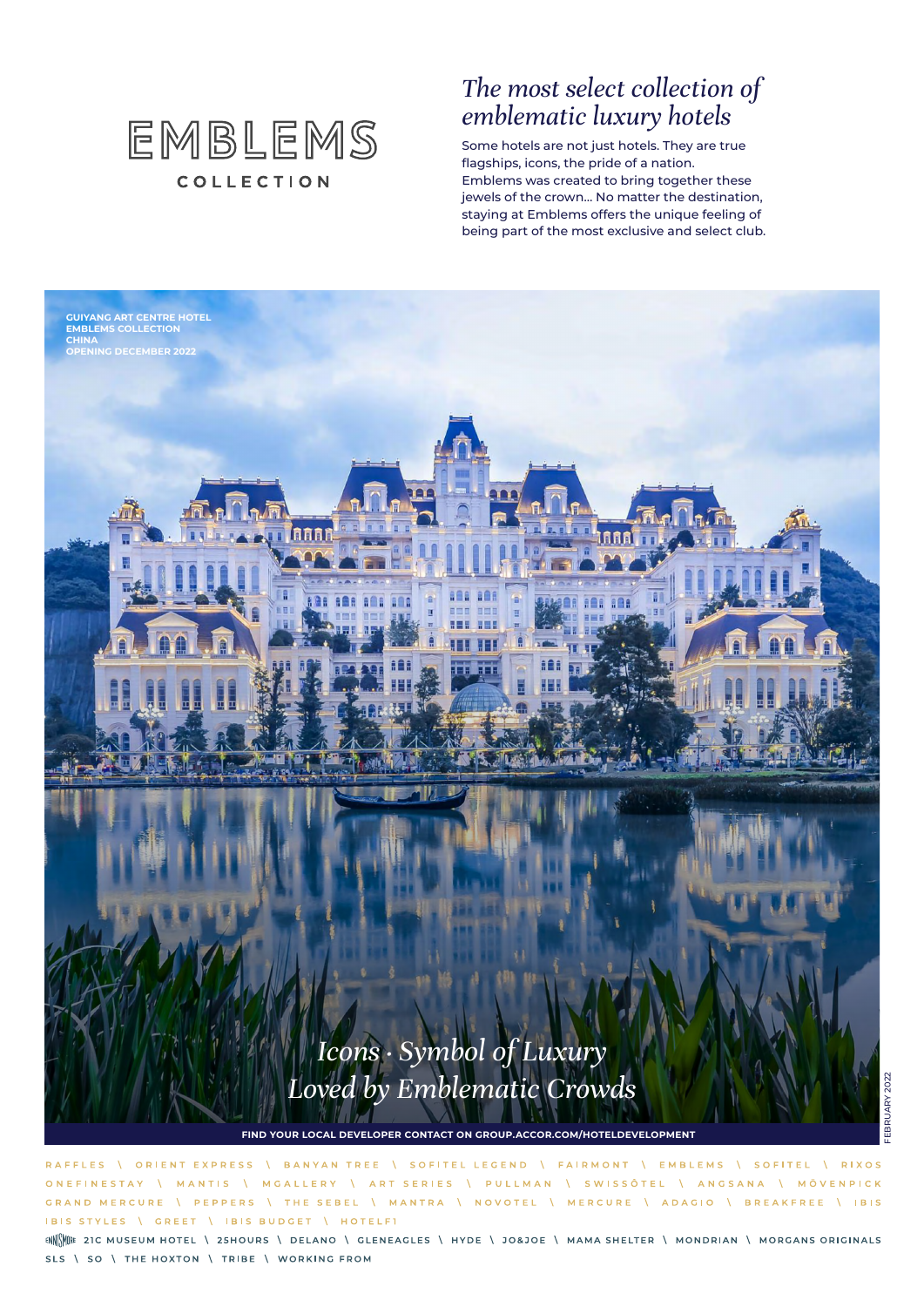

### *The most select collection of emblematic luxury hotels*

Some hotels are not just hotels. They are true flagships, icons, the pride of a nation. Emblems was created to bring together these jewels of the crown… No matter the destination, staying at Emblems offers the unique feeling of being part of the most exclusive and select club.



**\ ORIENT EXPRESS** BANYAN TREE \ SOFITEL LEGEND \ | EMBLEMS | SOFITEL **RAFFIES** FAIRMONT **RIXOS** \ ART SERIES \ PULLMAN \ SWISSÔTEL \ ANGSANA \ MÖVENPICK **ONEEINESTAY** MANTIS MGALLERY  $\Lambda$  $\Lambda$ GRAND MERCURE **PEPPERS** THE SEBEL \ MANTRA \ NOVOTEL \ MERCURE \ ADAGIO \ BREAKFREE \ IBIS IBIS STYLES \ GREET | IBIS BUDGET **I HOTELFT** 

ENNINE 21C MUSEUM HOTEL \ 25HOURS \ DELANO \ GLENEAGLES \ HYDE \ JO&JOE \ MAMA SHELTER \ MONDRIAN \ MORGANS ORIGINALS SLS \ SO \ THE HOXTON \ TRIBE \ WORKING FROM